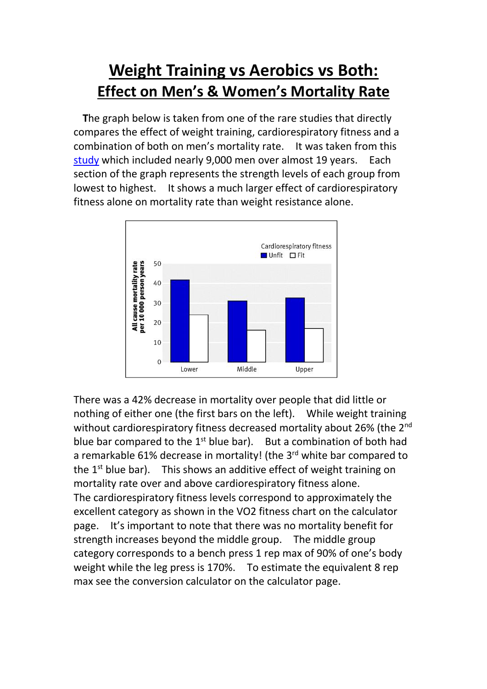## **Weight Training vs Aerobics vs Both: Effect on Men's & Women's Mortality Rate**

**T**he graph below is taken from one of the rare studies that directly compares the effect of weight training, cardiorespiratory fitness and a combination of both on men's mortality rate. It was taken from this [study](https://www.bmj.com/content/337/bmj.a439.short) which included nearly 9,000 men over almost 19 years. Each section of the graph represents the strength levels of each group from lowest to highest. It shows a much larger effect of cardiorespiratory fitness alone on mortality rate than weight resistance alone.



There was a 42% decrease in mortality over people that did little or nothing of either one (the first bars on the left). While weight training without cardiorespiratory fitness decreased mortality about 26% (the 2<sup>nd</sup> blue bar compared to the  $1<sup>st</sup>$  blue bar). But a combination of both had a remarkable 61% decrease in mortality! (the 3<sup>rd</sup> white bar compared to the 1<sup>st</sup> blue bar). This shows an additive effect of weight training on mortality rate over and above cardiorespiratory fitness alone. The cardiorespiratory fitness levels correspond to approximately the excellent category as shown in the VO2 fitness chart on the calculator page. It's important to note that there was no mortality benefit for strength increases beyond the middle group. The middle group category corresponds to a bench press 1 rep max of 90% of one's body weight while the leg press is 170%. To estimate the equivalent 8 rep max see the conversion calculator on the calculator page.